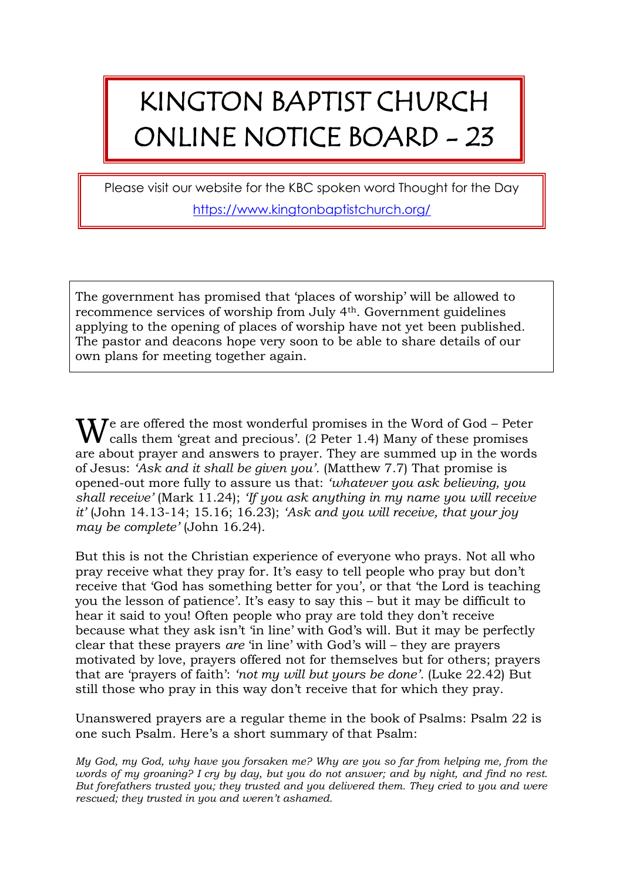## KINGTON BAPTIST CHURCH ONLINE NOTICE BOARD - 23

Please visit our website for the KBC spoken word Thought for the Day <https://www.kingtonbaptistchurch.org/>

The government has promised that 'places of worship' will be allowed to recommence services of worship from July 4th. Government guidelines applying to the opening of places of worship have not yet been published. The pastor and deacons hope very soon to be able to share details of our own plans for meeting together again.

 $\mathbf{W}$  calls them 'great and precious'. (2 Peter 1.4) Many of these promises calls them 'great and precious'. (2 Peter 1.4) Many of these promises are about prayer and answers to prayer. They are summed up in the words of Jesus: *'Ask and it shall be given you'.* (Matthew 7.7) That promise is opened-out more fully to assure us that: *'whatever you ask believing, you shall receive'* (Mark 11.24); *'If you ask anything in my name you will receive it'* (John 14.13-14; 15.16; 16.23); *'Ask and you will receive, that your joy may be complete'* (John 16.24).

But this is not the Christian experience of everyone who prays. Not all who pray receive what they pray for. It's easy to tell people who pray but don't receive that 'God has something better for you', or that 'the Lord is teaching you the lesson of patience'. It's easy to say this – but it may be difficult to hear it said to you! Often people who pray are told they don't receive because what they ask isn't 'in line' with God's will. But it may be perfectly clear that these prayers *are* 'in line' with God's will – they are prayers motivated by love, prayers offered not for themselves but for others; prayers that are 'prayers of faith': *'not my will but yours be done'.* (Luke 22.42) But still those who pray in this way don't receive that for which they pray.

Unanswered prayers are a regular theme in the book of Psalms: Psalm 22 is one such Psalm. Here's a short summary of that Psalm:

*My God, my God, why have you forsaken me? Why are you so far from helping me, from the words of my groaning? I cry by day, but you do not answer; and by night, and find no rest. But forefathers trusted you; they trusted and you delivered them. They cried to you and were rescued; they trusted in you and weren't ashamed.*